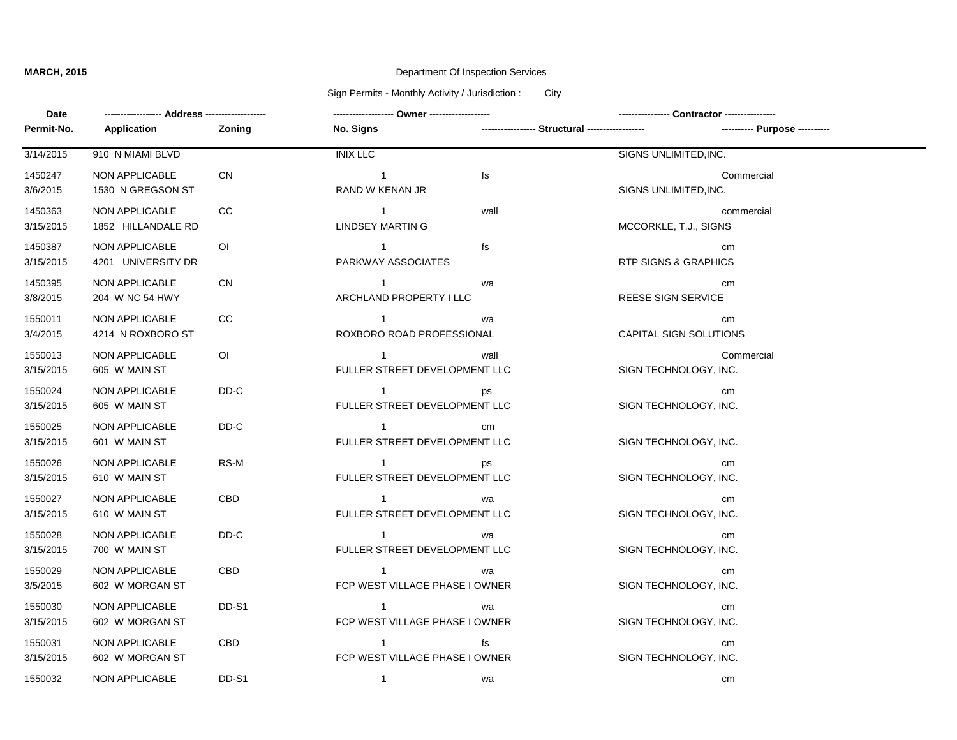# **MARCH, 2015** Department Of Inspection Services

# Sign Permits - Monthly Activity / Jurisdiction : City

| Date       |                       |                |                                |      |                                                                                  |  |
|------------|-----------------------|----------------|--------------------------------|------|----------------------------------------------------------------------------------|--|
| Permit-No. | Application           | Zoning         | <b>No. Signs</b>               |      | ----------------- Structural ------------------<br>---------- Purpose ---------- |  |
| 3/14/2015  | 910 N MIAMI BLVD      |                | <b>INIX LLC</b>                |      | SIGNS UNLIMITED, INC.                                                            |  |
| 1450247    | NON APPLICABLE        | <b>CN</b>      | $\overline{1}$                 | fs   | Commercial                                                                       |  |
| 3/6/2015   | 1530 N GREGSON ST     |                | RAND W KENAN JR                |      | SIGNS UNLIMITED, INC.                                                            |  |
| 1450363    | <b>NON APPLICABLE</b> | CC             | $\overline{1}$                 | wall | commercial                                                                       |  |
| 3/15/2015  | 1852 HILLANDALE RD    |                | <b>LINDSEY MARTIN G</b>        |      | MCCORKLE, T.J., SIGNS                                                            |  |
| 1450387    | NON APPLICABLE        | O <sub>1</sub> | $\overline{1}$                 | fs   | cm                                                                               |  |
| 3/15/2015  | 4201 UNIVERSITY DR    |                | PARKWAY ASSOCIATES             |      | <b>RTP SIGNS &amp; GRAPHICS</b>                                                  |  |
| 1450395    | <b>NON APPLICABLE</b> | <b>CN</b>      | $\overline{1}$                 | wa   | cm                                                                               |  |
| 3/8/2015   | 204 W NC 54 HWY       |                | ARCHLAND PROPERTY I LLC        |      | REESE SIGN SERVICE                                                               |  |
| 1550011    | NON APPLICABLE        | CC             | $\overline{1}$                 | wa   | cm                                                                               |  |
| 3/4/2015   | 4214 N ROXBORO ST     |                | ROXBORO ROAD PROFESSIONAL      |      | CAPITAL SIGN SOLUTIONS                                                           |  |
| 1550013    | NON APPLICABLE        | $\overline{O}$ | $\overline{1}$                 | wall | Commercial                                                                       |  |
| 3/15/2015  | 605 W MAIN ST         |                | FULLER STREET DEVELOPMENT LLC  |      | SIGN TECHNOLOGY, INC.                                                            |  |
| 1550024    | NON APPLICABLE        | DD-C           | $\mathbf{1}$                   | ps   | cm                                                                               |  |
| 3/15/2015  | 605 W MAIN ST         |                | FULLER STREET DEVELOPMENT LLC  |      | SIGN TECHNOLOGY, INC.                                                            |  |
| 1550025    | NON APPLICABLE        | DD-C           | $\overline{1}$                 | cm   |                                                                                  |  |
| 3/15/2015  | 601 W MAIN ST         |                | FULLER STREET DEVELOPMENT LLC  |      | SIGN TECHNOLOGY, INC.                                                            |  |
| 1550026    | NON APPLICABLE        | RS-M           | $\overline{1}$                 | ps   | cm                                                                               |  |
| 3/15/2015  | 610 W MAIN ST         |                | FULLER STREET DEVELOPMENT LLC  |      | SIGN TECHNOLOGY, INC.                                                            |  |
| 1550027    | NON APPLICABLE        | <b>CBD</b>     | $\overline{1}$                 | wa   | cm                                                                               |  |
| 3/15/2015  | 610 W MAIN ST         |                | FULLER STREET DEVELOPMENT LLC  |      | SIGN TECHNOLOGY, INC.                                                            |  |
| 1550028    | <b>NON APPLICABLE</b> | DD-C           | $\overline{1}$                 | wa   | cm                                                                               |  |
| 3/15/2015  | 700 W MAIN ST         |                | FULLER STREET DEVELOPMENT LLC  |      | SIGN TECHNOLOGY, INC.                                                            |  |
| 1550029    | NON APPLICABLE        | CBD            | $\overline{1}$                 | wa   | cm                                                                               |  |
| 3/5/2015   | 602 W MORGAN ST       |                | FCP WEST VILLAGE PHASE I OWNER |      | SIGN TECHNOLOGY, INC.                                                            |  |
| 1550030    | <b>NON APPLICABLE</b> | DD-S1          | $\overline{1}$                 | wa   | cm                                                                               |  |
| 3/15/2015  | 602 W MORGAN ST       |                | FCP WEST VILLAGE PHASE I OWNER |      | SIGN TECHNOLOGY, INC.                                                            |  |
| 1550031    | <b>NON APPLICABLE</b> | <b>CBD</b>     | $\overline{1}$                 | fs   | cm                                                                               |  |
| 3/15/2015  | 602 W MORGAN ST       |                | FCP WEST VILLAGE PHASE I OWNER |      | SIGN TECHNOLOGY, INC.                                                            |  |
| 1550032    | <b>NON APPLICABLE</b> | DD-S1          | $\overline{1}$                 | wa   | cm                                                                               |  |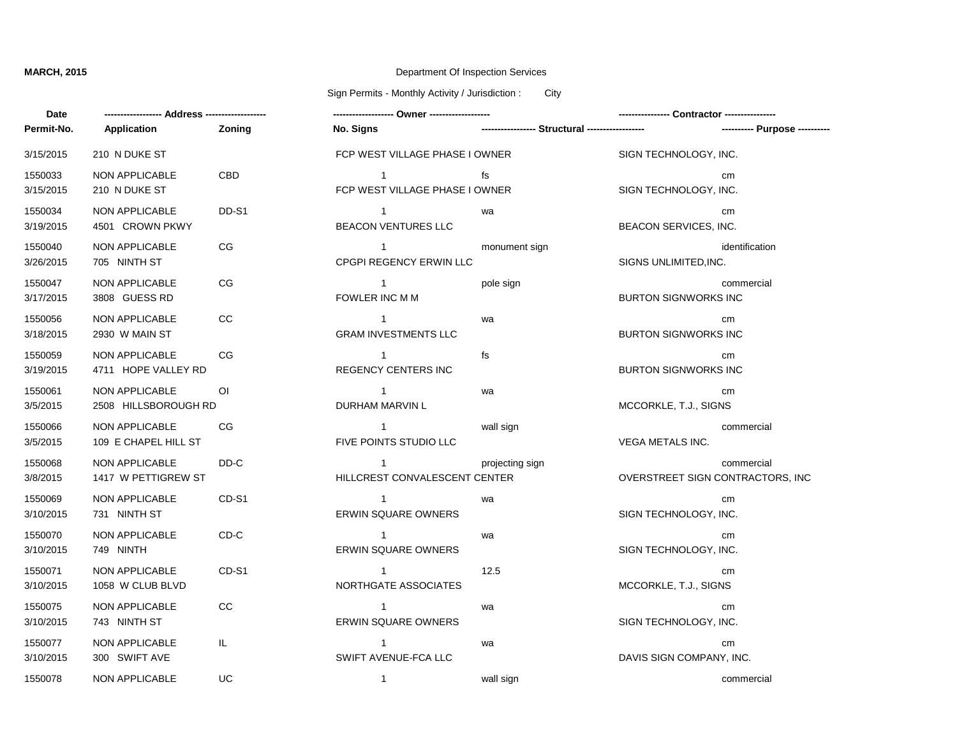**Date**

## **MARCH, 2015** Department Of Inspection Services

Sign Permits - Monthly Activity / Jurisdiction : City

| Date                 |                                        |                | ------------------ Owner ------------------      |                                                 |                                   |                |
|----------------------|----------------------------------------|----------------|--------------------------------------------------|-------------------------------------------------|-----------------------------------|----------------|
| Permit-No.           | Application                            | <b>Zoning</b>  | No. Signs                                        | ----------------- Structural ------------------ |                                   |                |
| 3/15/2015            | 210 N DUKE ST                          |                | FCP WEST VILLAGE PHASE I OWNER                   |                                                 | SIGN TECHNOLOGY, INC.             |                |
| 1550033<br>3/15/2015 | NON APPLICABLE<br>210 N DUKE ST        | <b>CBD</b>     | $\mathbf{1}$<br>FCP WEST VILLAGE PHASE I OWNER   | fs                                              | SIGN TECHNOLOGY, INC.             | cm             |
| 1550034<br>3/19/2015 | NON APPLICABLE<br>4501 CROWN PKWY      | DD-S1          | $\mathbf{1}$<br>BEACON VENTURES LLC              | wa                                              | BEACON SERVICES, INC.             | cm             |
| 1550040<br>3/26/2015 | NON APPLICABLE<br>705 NINTH ST         | CG             | $\overline{1}$<br><b>CPGPI REGENCY ERWIN LLC</b> | monument sign                                   | SIGNS UNLIMITED, INC.             | identification |
| 1550047<br>3/17/2015 | NON APPLICABLE<br>3808 GUESS RD        | CG             | $\overline{1}$<br>FOWLER INC M M                 | pole sign                                       | <b>BURTON SIGNWORKS INC</b>       | commercial     |
| 1550056<br>3/18/2015 | NON APPLICABLE<br>2930 W MAIN ST       | CC             | $\mathbf{1}$<br><b>GRAM INVESTMENTS LLC</b>      | wa                                              | <b>BURTON SIGNWORKS INC</b>       | cm             |
| 1550059<br>3/19/2015 | NON APPLICABLE<br>4711 HOPE VALLEY RD  | <b>CG</b>      | $\overline{1}$<br><b>REGENCY CENTERS INC</b>     | fs                                              | <b>BURTON SIGNWORKS INC</b>       | cm             |
| 1550061<br>3/5/2015  | NON APPLICABLE<br>2508 HILLSBOROUGH RD | $\overline{O}$ | $\overline{1}$<br>DURHAM MARVIN L                | wa                                              | MCCORKLE, T.J., SIGNS             | cm             |
| 1550066<br>3/5/2015  | NON APPLICABLE<br>109 E CHAPEL HILL ST | CG             | $\mathbf{1}$<br>FIVE POINTS STUDIO LLC           | wall sign                                       | <b>VEGA METALS INC.</b>           | commercial     |
| 1550068<br>3/8/2015  | NON APPLICABLE<br>1417 W PETTIGREW ST  | DD-C           | $\overline{1}$<br>HILLCREST CONVALESCENT CENTER  | projecting sign                                 | OVERSTREET SIGN CONTRACTORS, INC. | commercial     |
| 1550069<br>3/10/2015 | NON APPLICABLE<br>731 NINTH ST         | CD-S1          | $\overline{1}$<br><b>ERWIN SQUARE OWNERS</b>     | wa                                              | SIGN TECHNOLOGY, INC.             | cm             |
| 1550070<br>3/10/2015 | NON APPLICABLE<br>749 NINTH            | CD-C           | $\mathbf{1}$<br><b>ERWIN SQUARE OWNERS</b>       | wa                                              | SIGN TECHNOLOGY, INC.             | cm             |
| 1550071<br>3/10/2015 | NON APPLICABLE<br>1058 W CLUB BLVD     | CD-S1          | $\overline{1}$<br>NORTHGATE ASSOCIATES           | 12.5                                            | MCCORKLE, T.J., SIGNS             | cm             |
| 1550075<br>3/10/2015 | <b>NON APPLICABLE</b><br>743 NINTH ST  | CC             | $\mathbf{1}$<br><b>ERWIN SQUARE OWNERS</b>       | wa                                              | SIGN TECHNOLOGY, INC.             | cm             |
| 1550077<br>3/10/2015 | <b>NON APPLICABLE</b><br>300 SWIFT AVE | IL.            | $\mathbf{1}$<br>SWIFT AVENUE-FCA LLC             | wa                                              | DAVIS SIGN COMPANY, INC.          | cm             |
| 1550078              | NON APPLICABLE                         | <b>UC</b>      | $\mathbf{1}$                                     | wall sign                                       |                                   | commercial     |